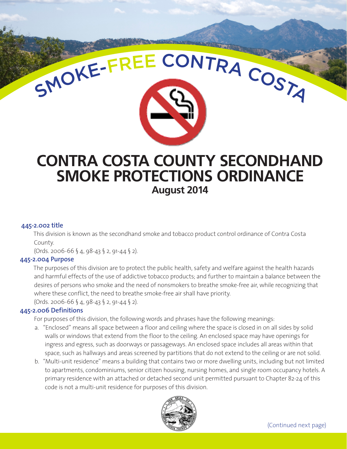

#### **445-2.002 title**

This division is known as the secondhand smoke and tobacco product control ordinance of Contra Costa County.

(Ords. 2006-66 § 4, 98-43 § 2, 91-44 § 2).

## **445-2.004 Purpose**

The purposes of this division are to protect the public health, safety and welfare against the health hazards and harmful effects of the use of addictive tobacco products; and further to maintain a balance between the desires of persons who smoke and the need of nonsmokers to breathe smoke-free air, while recognizing that where these conflict, the need to breathe smoke-free air shall have priority.

(Ords. 2006-66 § 4, 98-43 § 2, 91-44 § 2).

#### **445-2.006 Definitions**

For purposes of this division, the following words and phrases have the following meanings:

- a. "Enclosed" means all space between a floor and ceiling where the space is closed in on all sides by solid walls or windows that extend from the floor to the ceiling. An enclosed space may have openings for ingress and egress, such as doorways or passageways. An enclosed space includes all areas within that space, such as hallways and areas screened by partitions that do not extend to the ceiling or are not solid.
- b. "Multi-unit residence" means a building that contains two or more dwelling units, including but not limited to apartments, condominiums, senior citizen housing, nursing homes, and single room occupancy hotels. A primary residence with an attached or detached second unit permitted pursuant to Chapter 82-24 of this code is not a multi-unit residence for purposes of this division.

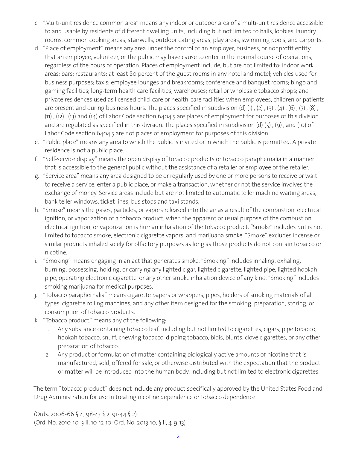- c. "Multi-unit residence common area" means any indoor or outdoor area of a multi-unit residence accessible to and usable by residents of different dwelling units, including but not limited to halls, lobbies, laundry rooms, common cooking areas, stairwells, outdoor eating areas, play areas, swimming pools, and carports.
- d. "Place of employment" means any area under the control of an employer, business, or nonprofit entity that an employee, volunteer, or the public may have cause to enter in the normal course of operations, regardless of the hours of operation. Places of employment include, but are not limited to: indoor work areas; bars; restaurants; at least 80 percent of the guest rooms in any hotel and motel; vehicles used for business purposes; taxis; employee lounges and breakrooms; conference and banquet rooms; bingo and gaming facilities; long-term health care facilities; warehouses; retail or wholesale tobacco shops; and private residences used as licensed child-care or health-care facilities when employees, children or patients are present and during business hours. The places specified in subdivision (d) (i), (2), (3), (4), (6), (7), (8), (11) , (12) , (13) and (14) of Labor Code section 6404.5 are places of employment for purposes of this division and are regulated as specified in this division. The places specified in subdivision (d)  $(5)$ ,  $(9)$ , and  $(10)$  of Labor Code section 6404.5 are not places of employment for purposes of this division.
- e. "Public place" means any area to which the public is invited or in which the public is permitted. A private residence is not a public place.
- f. "Self-service display" means the open display of tobacco products or tobacco paraphernalia in a manner that is accessible to the general public without the assistance of a retailer or employee of the retailer.
- g. "Service area" means any area designed to be or regularly used by one or more persons to receive or wait to receive a service, enter a public place, or make a transaction, whether or not the service involves the exchange of money. Service areas include but are not limited to automatic teller machine waiting areas, bank teller windows, ticket lines, bus stops and taxi stands.
- h. "Smoke" means the gases, particles, or vapors released into the air as a result of the combustion, electrical ignition, or vaporization of a tobacco product, when the apparent or usual purpose of the combustion, electrical ignition, or vaporization is human inhalation of the tobacco product. "Smoke" includes but is not limited to tobacco smoke, electronic cigarette vapors, and marijuana smoke. "Smoke" excludes incense or similar products inhaled solely for olfactory purposes as long as those products do not contain tobacco or nicotine.
- i. "Smoking" means engaging in an act that generates smoke. "Smoking" includes inhaling, exhaling, burning, possessing, holding, or carrying any lighted cigar, lighted cigarette, lighted pipe, lighted hookah pipe, operating electronic cigarette, or any other smoke inhalation device of any kind. "Smoking" includes smoking marijuana for medical purposes.
- j. "Tobacco paraphernalia" means cigarette papers or wrappers, pipes, holders of smoking materials of all types, cigarette rolling machines, and any other item designed for the smoking, preparation, storing, or consumption of tobacco products.
- k. "Tobacco product" means any of the following:
	- Any substance containing tobacco leaf, including but not limited to cigarettes, cigars, pipe tobacco, hookah tobacco, snuff, chewing tobacco, dipping tobacco, bidis, blunts, clove cigarettes, or any other preparation of tobacco.
	- 2. Any product or formulation of matter containing biologically active amounts of nicotine that is manufactured, sold, offered for sale, or otherwise distributed with the expectation that the product or matter will be introduced into the human body, including but not limited to electronic cigarettes.

The term "tobacco product" does not include any product specifically approved by the United States Food and Drug Administration for use in treating nicotine dependence or tobacco dependence.

(Ords. 2006-66 § 4, 98-43 § 2, 91-44 § 2). (Ord. No. 2010-10, § II, 10-12-10; Ord. No. 2013-10, § II, 4-9-13)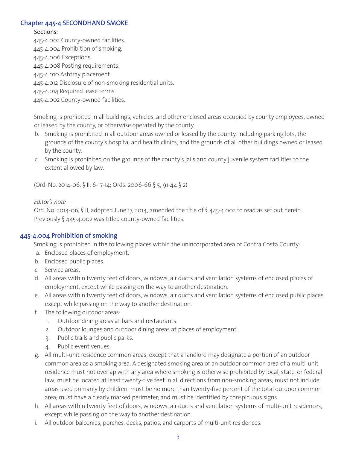## **Chapter 445-4 SECONDHAND SMOKE**

## Sections:

445-4.002 County-owned facilities.

445-4.004 Prohibition of smoking.

445-4.006 Exceptions.

445-4.008 Posting requirements.

445-4.010 Ashtray placement.

445-4.012 Disclosure of non-smoking residential units.

445-4.014 Required lease terms.

445-4.002 County-owned facilities.

Smoking is prohibited in all buildings, vehicles, and other enclosed areas occupied by county employees, owned or leased by the county, or otherwise operated by the county.

- b. Smoking is prohibited in all outdoor areas owned or leased by the county, including parking lots, the grounds of the county's hospital and health clinics, and the grounds of all other buildings owned or leased by the county.
- c. Smoking is prohibited on the grounds of the county's jails and county juvenile system facilities to the extent allowed by law.

(Ord. No. 2014-06, § II, 6-17-14; Ords. 2006-66 § 5, 91-44 § 2)

*Editor's note—* 

Ord. No. 2014-06, § II, adopted June 17, 2014, amended the title of § 445-4.002 to read as set out herein. Previously § 445-4.002 was titled county-owned facilities.

# **445-4.004 Prohibition of smoking**

Smoking is prohibited in the following places within the unincorporated area of Contra Costa County:

- a. Enclosed places of employment.
- b. Enclosed public places.
- c. Service areas.
- d. All areas within twenty feet of doors, windows, air ducts and ventilation systems of enclosed places of employment, except while passing on the way to another destination.
- e. All areas within twenty feet of doors, windows, air ducts and ventilation systems of enclosed public places, except while passing on the way to another destination.
- f. The following outdoor areas:
	- 1. Outdoor dining areas at bars and restaurants.
	- 2. Outdoor lounges and outdoor dining areas at places of employment.
	- 3. Public trails and public parks.
	- 4. Public event venues.
- g. All multi-unit residence common areas, except that a landlord may designate a portion of an outdoor common area as a smoking area. A designated smoking area of an outdoor common area of a multi-unit residence must not overlap with any area where smoking is otherwise prohibited by local, state, or federal law; must be located at least twenty-five feet in all directions from non-smoking areas; must not include areas used primarily by children; must be no more than twenty-five percent of the total outdoor common area; must have a clearly marked perimeter; and must be identified by conspicuous signs.
- h. All areas within twenty feet of doors, windows, air ducts and ventilation systems of multi-unit residences, except while passing on the way to another destination.
- i. All outdoor balconies, porches, decks, patios, and carports of multi-unit residences.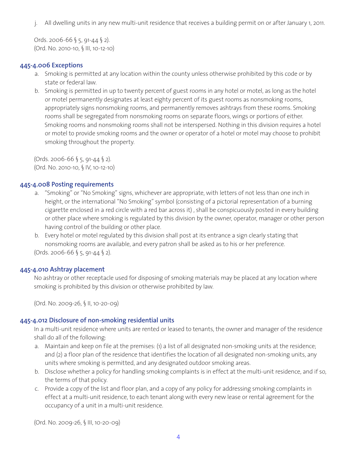j. All dwelling units in any new multi-unit residence that receives a building permit on or after January 1, 2011.

Ords. 2006-66 § 5, 91-44 § 2). (Ord. No. 2010-10, § III, 10-12-10)

## **445-4.006 Exceptions**

- a. Smoking is permitted at any location within the county unless otherwise prohibited by this code or by state or federal law.
- b. Smoking is permitted in up to twenty percent of guest rooms in any hotel or motel, as long as the hotel or motel permanently designates at least eighty percent of its guest rooms as nonsmoking rooms, appropriately signs nonsmoking rooms, and permanently removes ashtrays from these rooms. Smoking rooms shall be segregated from nonsmoking rooms on separate floors, wings or portions of either. Smoking rooms and nonsmoking rooms shall not be interspersed. Nothing in this division requires a hotel or motel to provide smoking rooms and the owner or operator of a hotel or motel may choose to prohibit smoking throughout the property.

 $(Ords. 2006-66 § 5, 91-44 § 2).$ (Ord. No. 2010-10, § IV, 10-12-10)

### **445-4.008 Posting requirements**

- a. "Smoking" or "No Smoking" signs, whichever are appropriate, with letters of not less than one inch in height, or the international "No Smoking" symbol (consisting of a pictorial representation of a burning cigarette enclosed in a red circle with a red bar across it) , shall be conspicuously posted in every building or other place where smoking is regulated by this division by the owner, operator, manager or other person having control of the building or other place.
- b. Every hotel or motel regulated by this division shall post at its entrance a sign clearly stating that nonsmoking rooms are available, and every patron shall be asked as to his or her preference. (Ords. 2006-66 § 5, 91-44 § 2).

#### **445-4.010 Ashtray placement**

No ashtray or other receptacle used for disposing of smoking materials may be placed at any location where smoking is prohibited by this division or otherwise prohibited by law.

(Ord. No. 2009-26, § II, 10-20-09)

## **445-4.012 Disclosure of non-smoking residential units**

In a multi-unit residence where units are rented or leased to tenants, the owner and manager of the residence shall do all of the following:

- a. Maintain and keep on file at the premises: (1) a list of all designated non-smoking units at the residence; and (2) a floor plan of the residence that identifies the location of all designated non-smoking units, any units where smoking is permitted, and any designated outdoor smoking areas.
- b. Disclose whether a policy for handling smoking complaints is in effect at the multi-unit residence, and if so, the terms of that policy.
- c. Provide a copy of the list and floor plan, and a copy of any policy for addressing smoking complaints in effect at a multi-unit residence, to each tenant along with every new lease or rental agreement for the occupancy of a unit in a multi-unit residence.

(Ord. No. 2009-26, § III, 10-20-09)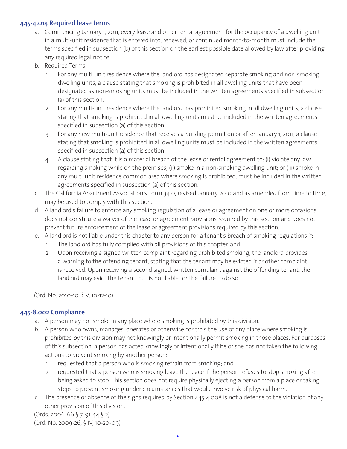# **445-4.014 Required lease terms**

- a. Commencing January 1, 2011, every lease and other rental agreement for the occupancy of a dwelling unit in a multi-unit residence that is entered into, renewed, or continued month-to-month must include the terms specified in subsection (b) of this section on the earliest possible date allowed by law after providing any required legal notice.
- b. Required Terms.
	- 1. For any multi-unit residence where the landlord has designated separate smoking and non-smoking dwelling units, a clause stating that smoking is prohibited in all dwelling units that have been designated as non-smoking units must be included in the written agreements specified in subsection (a) of this section.
	- 2. For any multi-unit residence where the landlord has prohibited smoking in all dwelling units, a clause stating that smoking is prohibited in all dwelling units must be included in the written agreements specified in subsection (a) of this section.
	- 3. For any new multi-unit residence that receives a building permit on or after January 1, 2011, a clause stating that smoking is prohibited in all dwelling units must be included in the written agreements specified in subsection (a) of this section.
	- 4. A clause stating that it is a material breach of the lease or rental agreement to: (i) violate any law regarding smoking while on the premises; (ii) smoke in a non-smoking dwelling unit; or (iii) smoke in any multi-unit residence common area where smoking is prohibited, must be included in the written agreements specified in subsection (a) of this section.
- c. The California Apartment Association's Form 34.0, revised January 2010 and as amended from time to time, may be used to comply with this section.
- d. A landlord's failure to enforce any smoking regulation of a lease or agreement on one or more occasions does not constitute a waiver of the lease or agreement provisions required by this section and does not prevent future enforcement of the lease or agreement provisions required by this section.
- e. A landlord is not liable under this chapter to any person for a tenant's breach of smoking regulations if:
	- 1. The landlord has fully complied with all provisions of this chapter, and
	- 2. Upon receiving a signed written complaint regarding prohibited smoking, the landlord provides a warning to the offending tenant, stating that the tenant may be evicted if another complaint is received. Upon receiving a second signed, written complaint against the offending tenant, the landlord may evict the tenant, but is not liable for the failure to do so.

(Ord. No. 2010-10, § V, 10-12-10)

# **445-8.002 Compliance**

- a. A person may not smoke in any place where smoking is prohibited by this division.
- b. A person who owns, manages, operates or otherwise controls the use of any place where smoking is prohibited by this division may not knowingly or intentionally permit smoking in those places. For purposes of this subsection, a person has acted knowingly or intentionally if he or she has not taken the following actions to prevent smoking by another person:
	- 1. requested that a person who is smoking refrain from smoking; and
	- 2. requested that a person who is smoking leave the place if the person refuses to stop smoking after being asked to stop. This section does not require physically ejecting a person from a place or taking steps to prevent smoking under circumstances that would involve risk of physical harm.
- c. The presence or absence of the signs required by Section 445-4.008 is not a defense to the violation of any other provision of this division.

(Ords. 2006-66 § 7, 91-44 § 2). (Ord. No. 2009-26, § IV, 10-20-09)